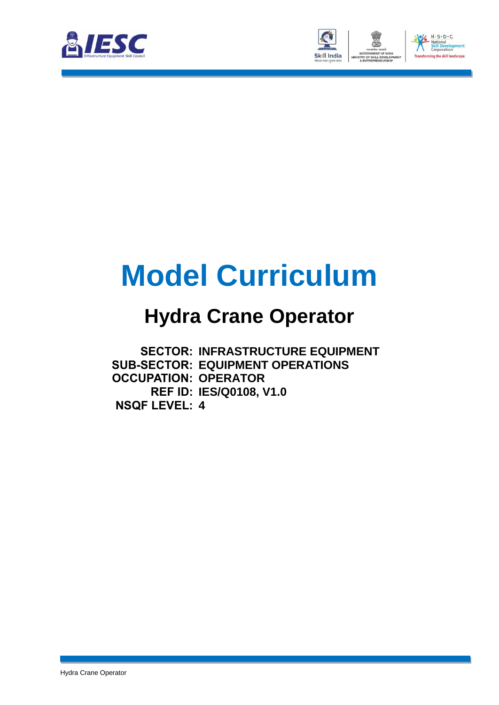



## **Model Curriculum**

### **Hydra Crane Operator**

**SECTOR: INFRASTRUCTURE EQUIPMENT SUB-SECTOR: EQUIPMENT OPERATIONS OCCUPATION: OPERATOR REF ID: IES/Q0108, V1.0 NSQF LEVEL: 4**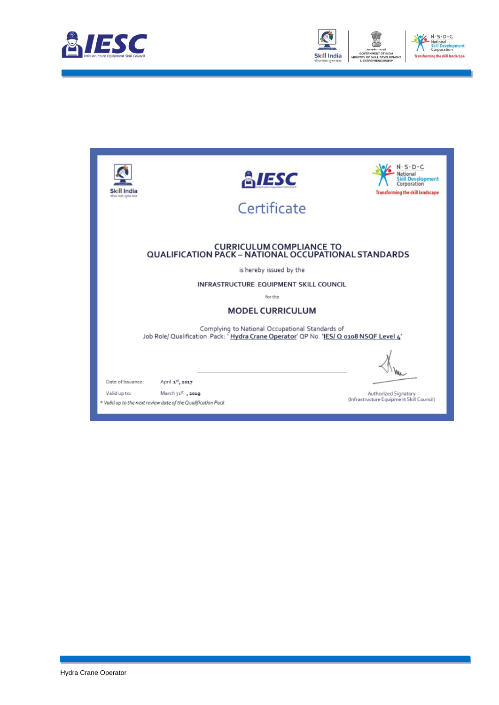



| Skill India<br>कीकार भारत-कुशल भारत                                                     | ESC                                                                                                                                        | $-S \cdot D \cdot C$<br>kill Develooment<br>Corporation<br><b>Transforming the skill landscape</b> |  |  |
|-----------------------------------------------------------------------------------------|--------------------------------------------------------------------------------------------------------------------------------------------|----------------------------------------------------------------------------------------------------|--|--|
|                                                                                         | Certificate                                                                                                                                |                                                                                                    |  |  |
|                                                                                         |                                                                                                                                            |                                                                                                    |  |  |
| <b>CURRICULUM COMPLIANCE TO</b><br>QUALIFICATION PACK - NATIONAL OCCUPATIONAL STANDARDS |                                                                                                                                            |                                                                                                    |  |  |
|                                                                                         | is hereby issued by the                                                                                                                    |                                                                                                    |  |  |
|                                                                                         | INFRASTRUCTURE EQUIPMENT SKILL COUNCIL                                                                                                     |                                                                                                    |  |  |
| for the                                                                                 |                                                                                                                                            |                                                                                                    |  |  |
|                                                                                         | <b>MODEL CURRICULUM</b>                                                                                                                    |                                                                                                    |  |  |
|                                                                                         | Complying to National Occupational Standards of<br>Job Role/ Qualification Pack: ' Hydra Crane Operator' QP No. 'IES/ Q 0108 NSQF Level 4' |                                                                                                    |  |  |
|                                                                                         |                                                                                                                                            |                                                                                                    |  |  |
| Date of Issuance:                                                                       | April 1st, 2017                                                                                                                            |                                                                                                    |  |  |
| Valid up to:                                                                            | March 31 <sup>%</sup> , 2019<br>* Valid up to the next review date of the Qualification Pack                                               | Authorized Signatory<br>(Infrastructure Equipment Skill Council)                                   |  |  |
|                                                                                         |                                                                                                                                            |                                                                                                    |  |  |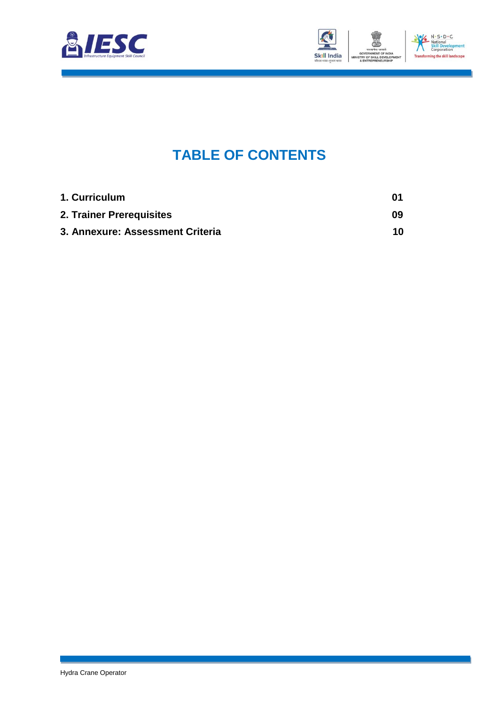



### **TABLE OF CONTENTS**

<span id="page-2-2"></span><span id="page-2-1"></span><span id="page-2-0"></span>

| 1. Curriculum                    | 01 |
|----------------------------------|----|
| 2. Trainer Prerequisites         | 09 |
| 3. Annexure: Assessment Criteria | 10 |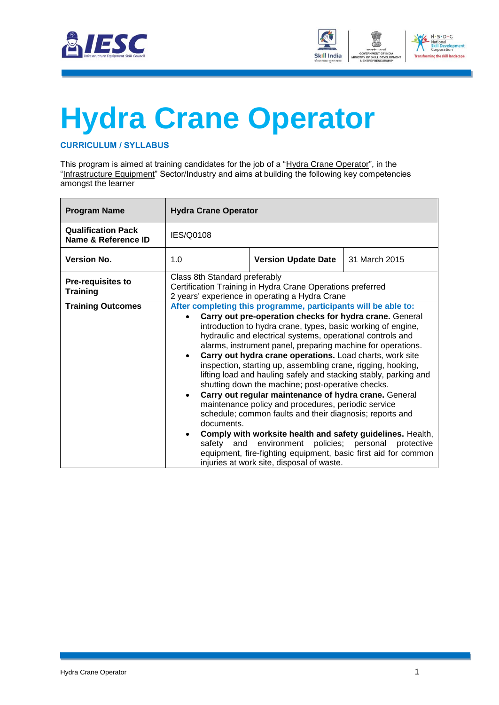



# <span id="page-3-0"></span>**[Hydra Crane](#page-2-0) Operator**

#### **CURRICULUM / SYLLABUS**

This program is aimed at training candidates for the job of a "Hydra Crane Operator", in the "Infrastructure Equipment" Sector/Industry and aims at building the following key competencies amongst the learner

| <b>Program Name</b>                              | <b>Hydra Crane Operator</b>                           |                                                                                                                                                                                                                                                                                                                                                                                                                                                                                                                                                                                                                                                                                                                                                                                                                                                                                                                                                     |                                  |
|--------------------------------------------------|-------------------------------------------------------|-----------------------------------------------------------------------------------------------------------------------------------------------------------------------------------------------------------------------------------------------------------------------------------------------------------------------------------------------------------------------------------------------------------------------------------------------------------------------------------------------------------------------------------------------------------------------------------------------------------------------------------------------------------------------------------------------------------------------------------------------------------------------------------------------------------------------------------------------------------------------------------------------------------------------------------------------------|----------------------------------|
| <b>Qualification Pack</b><br>Name & Reference ID | IES/Q0108                                             |                                                                                                                                                                                                                                                                                                                                                                                                                                                                                                                                                                                                                                                                                                                                                                                                                                                                                                                                                     |                                  |
| <b>Version No.</b>                               | 1.0                                                   | <b>Version Update Date</b>                                                                                                                                                                                                                                                                                                                                                                                                                                                                                                                                                                                                                                                                                                                                                                                                                                                                                                                          | 31 March 2015                    |
| <b>Pre-requisites to</b><br><b>Training</b>      | Class 8th Standard preferably                         | Certification Training in Hydra Crane Operations preferred<br>2 years' experience in operating a Hydra Crane                                                                                                                                                                                                                                                                                                                                                                                                                                                                                                                                                                                                                                                                                                                                                                                                                                        |                                  |
| <b>Training Outcomes</b>                         | $\bullet$<br>documents.<br>$\bullet$<br>safetv<br>and | After completing this programme, participants will be able to:<br>Carry out pre-operation checks for hydra crane. General<br>introduction to hydra crane, types, basic working of engine,<br>hydraulic and electrical systems, operational controls and<br>alarms, instrument panel, preparing machine for operations.<br>Carry out hydra crane operations. Load charts, work site<br>inspection, starting up, assembling crane, rigging, hooking,<br>lifting load and hauling safely and stacking stably, parking and<br>shutting down the machine; post-operative checks.<br>Carry out regular maintenance of hydra crane. General<br>maintenance policy and procedures, periodic service<br>schedule; common faults and their diagnosis; reports and<br>Comply with worksite health and safety guidelines. Health,<br>environment<br>equipment, fire-fighting equipment, basic first aid for common<br>injuries at work site, disposal of waste. | policies; personal<br>protective |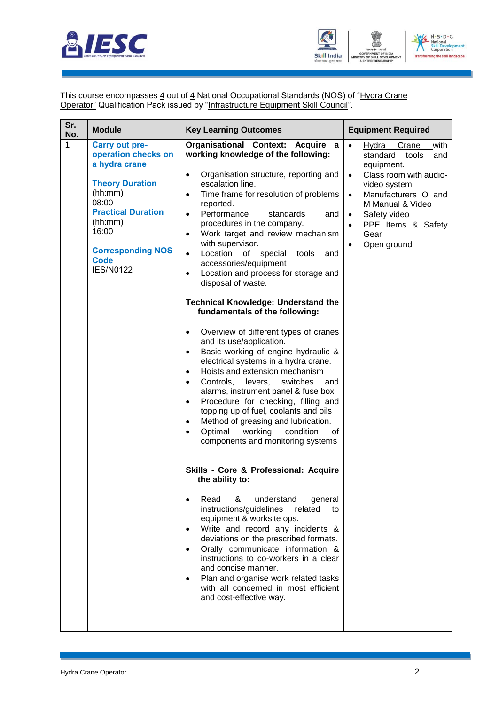



This course encompasses <u>4</u> out of <u>4</u> National Occupational Standards (NOS) of "<u>Hydra Crane</u> **Operator**" Qualification Pack issued by "Infrastructure Equipment Skill Council".

| Sr.<br>No. | <b>Module</b>                                                                                                                                                                                                               | <b>Key Learning Outcomes</b>                                                                                                                                                                                                                                                                                                                                                                                                                                                                                                                                                                                                                                                                                                                                                                                                                                                                                                                                                                                                                                                                                                                                                                                                                                                                                                                                                                                                                                                                                                                                                                                                                                                                           | <b>Equipment Required</b>                                                                                                                                                                                                                                                                        |
|------------|-----------------------------------------------------------------------------------------------------------------------------------------------------------------------------------------------------------------------------|--------------------------------------------------------------------------------------------------------------------------------------------------------------------------------------------------------------------------------------------------------------------------------------------------------------------------------------------------------------------------------------------------------------------------------------------------------------------------------------------------------------------------------------------------------------------------------------------------------------------------------------------------------------------------------------------------------------------------------------------------------------------------------------------------------------------------------------------------------------------------------------------------------------------------------------------------------------------------------------------------------------------------------------------------------------------------------------------------------------------------------------------------------------------------------------------------------------------------------------------------------------------------------------------------------------------------------------------------------------------------------------------------------------------------------------------------------------------------------------------------------------------------------------------------------------------------------------------------------------------------------------------------------------------------------------------------------|--------------------------------------------------------------------------------------------------------------------------------------------------------------------------------------------------------------------------------------------------------------------------------------------------|
| 1          | <b>Carry out pre-</b><br>operation checks on<br>a hydra crane<br><b>Theory Duration</b><br>(hh:mm)<br>08:00<br><b>Practical Duration</b><br>(hh:mm)<br>16:00<br><b>Corresponding NOS</b><br><b>Code</b><br><b>IES/N0122</b> | Organisational Context: Acquire a<br>working knowledge of the following:<br>Organisation structure, reporting and<br>$\bullet$<br>escalation line.<br>Time frame for resolution of problems<br>$\bullet$<br>reported.<br>Performance<br>standards<br>and<br>$\bullet$<br>procedures in the company.<br>Work target and review mechanism<br>$\bullet$<br>with supervisor.<br>Location of special<br>$\bullet$<br>tools<br>and<br>accessories/equipment<br>Location and process for storage and<br>$\bullet$<br>disposal of waste.<br><b>Technical Knowledge: Understand the</b><br>fundamentals of the following:<br>Overview of different types of cranes<br>$\bullet$<br>and its use/application.<br>Basic working of engine hydraulic &<br>$\bullet$<br>electrical systems in a hydra crane.<br>Hoists and extension mechanism<br>$\bullet$<br>Controls,<br>levers,<br>switches<br>and<br>$\bullet$<br>alarms, instrument panel & fuse box<br>Procedure for checking, filling and<br>$\bullet$<br>topping up of fuel, coolants and oils<br>Method of greasing and lubrication.<br>$\bullet$<br>Optimal<br>working<br>condition<br>οf<br>$\bullet$<br>components and monitoring systems<br>Skills - Core & Professional: Acquire<br>the ability to:<br>Read<br>&<br>understand<br>general<br>instructions/guidelines<br>related<br>to<br>equipment & worksite ops.<br>Write and record any incidents &<br>$\bullet$<br>deviations on the prescribed formats.<br>Orally communicate information &<br>$\bullet$<br>instructions to co-workers in a clear<br>and concise manner.<br>Plan and organise work related tasks<br>$\bullet$<br>with all concerned in most efficient<br>and cost-effective way. | $\bullet$<br>with<br>Hydra<br>Crane<br>standard<br>tools<br>and<br>equipment.<br>Class room with audio-<br>$\bullet$<br>video system<br>Manufacturers O and<br>$\bullet$<br>M Manual & Video<br>Safety video<br>$\bullet$<br>PPE Items & Safety<br>$\bullet$<br>Gear<br>Open ground<br>$\bullet$ |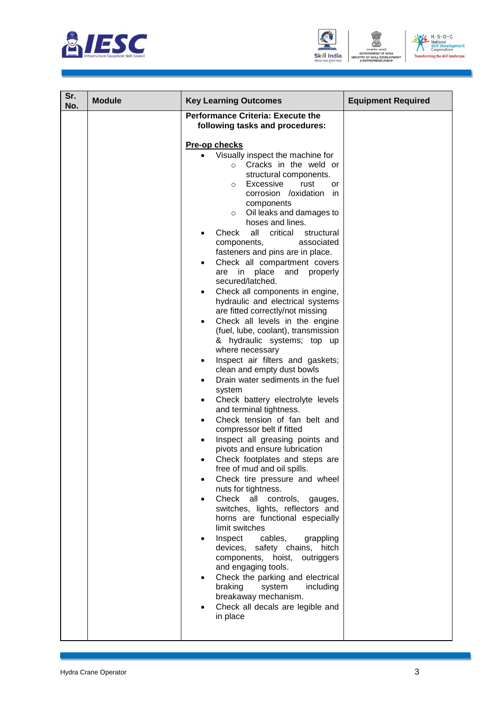





| Sr.<br>No. | <b>Module</b> | <b>Key Learning Outcomes</b>                                                                                                                                                                                                                                                                                                                                                                                                                                                                                                                                                                                                                                                                                                                                                                                                                                                                                                                                                                                                                                                                                                                                                                                                                                                                                                                                                                                                                                                                                                                                                                                                                                  | <b>Equipment Required</b> |
|------------|---------------|---------------------------------------------------------------------------------------------------------------------------------------------------------------------------------------------------------------------------------------------------------------------------------------------------------------------------------------------------------------------------------------------------------------------------------------------------------------------------------------------------------------------------------------------------------------------------------------------------------------------------------------------------------------------------------------------------------------------------------------------------------------------------------------------------------------------------------------------------------------------------------------------------------------------------------------------------------------------------------------------------------------------------------------------------------------------------------------------------------------------------------------------------------------------------------------------------------------------------------------------------------------------------------------------------------------------------------------------------------------------------------------------------------------------------------------------------------------------------------------------------------------------------------------------------------------------------------------------------------------------------------------------------------------|---------------------------|
|            |               | <b>Performance Criteria: Execute the</b><br>following tasks and procedures:<br>Pre-op checks<br>Visually inspect the machine for<br>Cracks in the weld or<br>$\circ$<br>structural components.<br>Excessive<br>rust<br>or<br>$\circ$<br>corrosion /oxidation<br>in.<br>components<br>Oil leaks and damages to<br>$\circ$<br>hoses and lines.<br>Check<br>all<br>critical<br>structural<br>associated<br>components,<br>fasteners and pins are in place.<br>Check all compartment covers<br>are in place and properly<br>secured/latched.<br>Check all components in engine,<br>hydraulic and electrical systems<br>are fitted correctly/not missing<br>Check all levels in the engine<br>(fuel, lube, coolant), transmission<br>& hydraulic systems; top up<br>where necessary<br>Inspect air filters and gaskets;<br>clean and empty dust bowls<br>Drain water sediments in the fuel<br>$\bullet$<br>system<br>Check battery electrolyte levels<br>٠<br>and terminal tightness.<br>Check tension of fan belt and<br>$\bullet$<br>compressor belt if fitted<br>Inspect all greasing points and<br>pivots and ensure lubrication<br>Check footplates and steps are<br>free of mud and oil spills.<br>Check tire pressure and wheel<br>nuts for tightness.<br>Check all controls,<br>gauges,<br>switches, lights, reflectors and<br>horns are functional especially<br>limit switches<br>Inspect<br>cables,<br>grappling<br>devices, safety chains, hitch<br>components, hoist, outriggers<br>and engaging tools.<br>Check the parking and electrical<br>braking<br>system<br>including<br>breakaway mechanism.<br>Check all decals are legible and<br>in place |                           |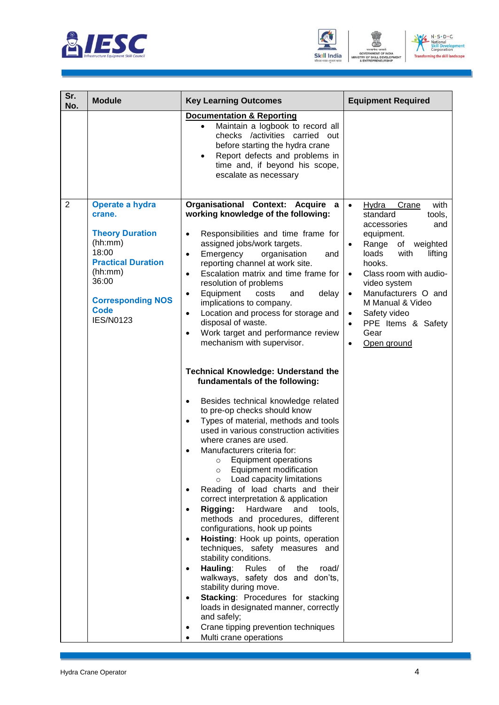





| Sr.<br>No.     | <b>Module</b>                                                                                                                                                                           | <b>Key Learning Outcomes</b>                                                                                                                                                                                                                                                                                                                                                                                                                                                                                                                                                                                                                                                                                                                                                                                                                                                                                                                                                                                                                                                                                                                                                                                                                                                                                                                                                                                                                                                                                                                                                                                               | <b>Equipment Required</b>                                                                                                                                                                                                                                                                                                                               |
|----------------|-----------------------------------------------------------------------------------------------------------------------------------------------------------------------------------------|----------------------------------------------------------------------------------------------------------------------------------------------------------------------------------------------------------------------------------------------------------------------------------------------------------------------------------------------------------------------------------------------------------------------------------------------------------------------------------------------------------------------------------------------------------------------------------------------------------------------------------------------------------------------------------------------------------------------------------------------------------------------------------------------------------------------------------------------------------------------------------------------------------------------------------------------------------------------------------------------------------------------------------------------------------------------------------------------------------------------------------------------------------------------------------------------------------------------------------------------------------------------------------------------------------------------------------------------------------------------------------------------------------------------------------------------------------------------------------------------------------------------------------------------------------------------------------------------------------------------------|---------------------------------------------------------------------------------------------------------------------------------------------------------------------------------------------------------------------------------------------------------------------------------------------------------------------------------------------------------|
|                |                                                                                                                                                                                         | <b>Documentation &amp; Reporting</b><br>Maintain a logbook to record all<br>$\bullet$<br>checks /activities carried out<br>before starting the hydra crane<br>Report defects and problems in<br>time and, if beyond his scope,<br>escalate as necessary                                                                                                                                                                                                                                                                                                                                                                                                                                                                                                                                                                                                                                                                                                                                                                                                                                                                                                                                                                                                                                                                                                                                                                                                                                                                                                                                                                    |                                                                                                                                                                                                                                                                                                                                                         |
| $\overline{2}$ | Operate a hydra<br>crane.<br><b>Theory Duration</b><br>(hh:mm)<br>18:00<br><b>Practical Duration</b><br>(hh:mm)<br>36:00<br><b>Corresponding NOS</b><br><b>Code</b><br><b>IES/N0123</b> | Organisational Context: Acquire a<br>working knowledge of the following:<br>Responsibilities and time frame for<br>$\bullet$<br>assigned jobs/work targets.<br>Emergency<br>organisation<br>and<br>$\bullet$<br>reporting channel at work site.<br>Escalation matrix and time frame for<br>$\bullet$<br>resolution of problems<br>Equipment<br>delay<br>costs<br>and<br>$\bullet$<br>implications to company.<br>Location and process for storage and<br>$\bullet$<br>disposal of waste.<br>Work target and performance review<br>$\bullet$<br>mechanism with supervisor.<br><b>Technical Knowledge: Understand the</b><br>fundamentals of the following:<br>Besides technical knowledge related<br>$\bullet$<br>to pre-op checks should know<br>Types of material, methods and tools<br>$\bullet$<br>used in various construction activities<br>where cranes are used.<br>Manufacturers criteria for:<br>$\bullet$<br>Equipment operations<br>$\circ$<br>Equipment modification<br>$\circ$<br>Load capacity limitations<br>$\circ$<br>Reading of load charts and their<br>correct interpretation & application<br>Rigging: Hardware and tools,<br>$\bullet$<br>methods and procedures, different<br>configurations, hook up points<br>Hoisting: Hook up points, operation<br>$\bullet$<br>techniques, safety measures and<br>stability conditions.<br>Hauling:<br>Rules<br>of<br>the<br>road/<br>$\bullet$<br>walkways, safety dos and don'ts,<br>stability during move.<br>Stacking: Procedures for stacking<br>$\bullet$<br>loads in designated manner, correctly<br>and safely;<br>Crane tipping prevention techniques | with<br>Hydra<br>$\bullet$<br>Crane<br>standard<br>tools,<br>accessories<br>and<br>equipment.<br>Range<br>of<br>weighted<br>loads<br>with<br>lifting<br>hooks.<br>Class room with audio-<br>$\bullet$<br>video system<br>Manufacturers O and<br>$\bullet$<br>M Manual & Video<br>Safety video<br>$\bullet$<br>PPE Items & Safety<br>Gear<br>Open ground |
|                |                                                                                                                                                                                         | Multi crane operations<br>$\bullet$                                                                                                                                                                                                                                                                                                                                                                                                                                                                                                                                                                                                                                                                                                                                                                                                                                                                                                                                                                                                                                                                                                                                                                                                                                                                                                                                                                                                                                                                                                                                                                                        |                                                                                                                                                                                                                                                                                                                                                         |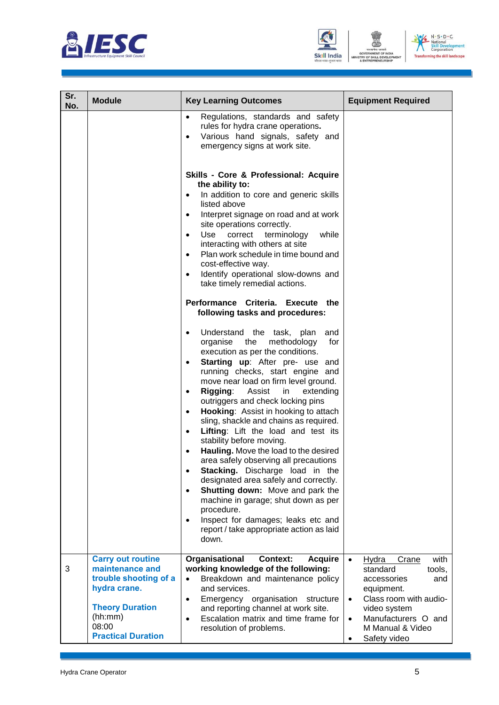





| Sr.<br>No. | <b>Module</b>                                                                                                                                                   | <b>Key Learning Outcomes</b>                                                                                                                                                                                                                                                                                                                                                                                                                                                                                                                                                                                                                                                                                                                                                                                                                                                                                                                                                             | <b>Equipment Required</b>                                                                                                                                                                                       |
|------------|-----------------------------------------------------------------------------------------------------------------------------------------------------------------|------------------------------------------------------------------------------------------------------------------------------------------------------------------------------------------------------------------------------------------------------------------------------------------------------------------------------------------------------------------------------------------------------------------------------------------------------------------------------------------------------------------------------------------------------------------------------------------------------------------------------------------------------------------------------------------------------------------------------------------------------------------------------------------------------------------------------------------------------------------------------------------------------------------------------------------------------------------------------------------|-----------------------------------------------------------------------------------------------------------------------------------------------------------------------------------------------------------------|
|            |                                                                                                                                                                 | Regulations, standards and safety<br>$\bullet$<br>rules for hydra crane operations.<br>Various hand signals, safety and<br>emergency signs at work site.                                                                                                                                                                                                                                                                                                                                                                                                                                                                                                                                                                                                                                                                                                                                                                                                                                 |                                                                                                                                                                                                                 |
|            |                                                                                                                                                                 | Skills - Core & Professional: Acquire<br>the ability to:<br>In addition to core and generic skills<br>$\bullet$<br>listed above<br>Interpret signage on road and at work<br>$\bullet$<br>site operations correctly.<br>Use<br>correct<br>terminology<br>while<br>$\bullet$<br>interacting with others at site<br>Plan work schedule in time bound and<br>$\bullet$<br>cost-effective way.<br>Identify operational slow-downs and<br>$\bullet$<br>take timely remedial actions.                                                                                                                                                                                                                                                                                                                                                                                                                                                                                                           |                                                                                                                                                                                                                 |
|            |                                                                                                                                                                 | Performance Criteria. Execute the<br>following tasks and procedures:<br>Understand the task, plan<br>and<br>$\bullet$<br>organise the<br>methodology<br>for<br>execution as per the conditions.<br>Starting up: After pre- use and<br>running checks, start engine and<br>move near load on firm level ground.<br>Rigging: Assist in<br>extending<br>$\bullet$<br>outriggers and check locking pins<br>Hooking: Assist in hooking to attach<br>$\bullet$<br>sling, shackle and chains as required.<br>Lifting: Lift the load and test its<br>$\bullet$<br>stability before moving.<br>Hauling. Move the load to the desired<br>$\bullet$<br>area safely observing all precautions<br>Stacking. Discharge load in the<br>$\bullet$<br>designated area safely and correctly.<br>Shutting down: Move and park the<br>$\bullet$<br>machine in garage; shut down as per<br>procedure.<br>Inspect for damages; leaks etc and<br>$\bullet$<br>report / take appropriate action as laid<br>down. |                                                                                                                                                                                                                 |
| 3          | <b>Carry out routine</b><br>maintenance and<br>trouble shooting of a<br>hydra crane.<br><b>Theory Duration</b><br>(hh:mm)<br>08:00<br><b>Practical Duration</b> | Organisational<br><b>Context:</b><br><b>Acquire</b><br>working knowledge of the following:<br>Breakdown and maintenance policy<br>and services.<br>Emergency organisation<br>structure<br>$\bullet$<br>and reporting channel at work site.<br>Escalation matrix and time frame for<br>resolution of problems.                                                                                                                                                                                                                                                                                                                                                                                                                                                                                                                                                                                                                                                                            | Hydra<br>Crane<br>with<br>$\bullet$<br>standard<br>tools.<br>accessories<br>and<br>equipment.<br>Class room with audio-<br>$\bullet$<br>video system<br>Manufacturers O and<br>M Manual & Video<br>Safety video |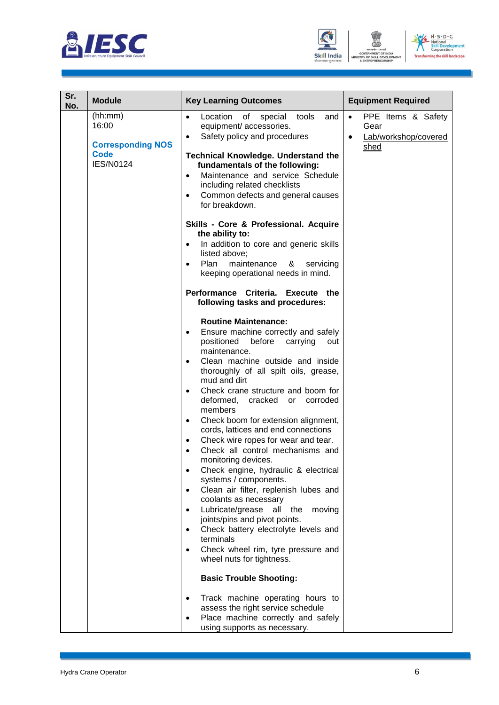





| Sr.<br>No. | <b>Module</b>                                                                   | <b>Key Learning Outcomes</b>                                                                                                                                                                                                                                                                                                                                                                                                                                                                                                                                                                                                                                                                                                                                                                                                                                                                                                                                                                                                                         | <b>Equipment Required</b>                                               |
|------------|---------------------------------------------------------------------------------|------------------------------------------------------------------------------------------------------------------------------------------------------------------------------------------------------------------------------------------------------------------------------------------------------------------------------------------------------------------------------------------------------------------------------------------------------------------------------------------------------------------------------------------------------------------------------------------------------------------------------------------------------------------------------------------------------------------------------------------------------------------------------------------------------------------------------------------------------------------------------------------------------------------------------------------------------------------------------------------------------------------------------------------------------|-------------------------------------------------------------------------|
|            | (hh:mm)<br>16:00<br><b>Corresponding NOS</b><br><b>Code</b><br><b>IES/N0124</b> | tools<br>Location<br>of<br>special<br>and<br>$\bullet$<br>equipment/ accessories.<br>Safety policy and procedures<br>$\bullet$<br><b>Technical Knowledge. Understand the</b><br>fundamentals of the following:<br>Maintenance and service Schedule<br>$\bullet$<br>including related checklists<br>Common defects and general causes<br>$\bullet$<br>for breakdown.<br>Skills - Core & Professional. Acquire<br>the ability to:<br>In addition to core and generic skills<br>$\bullet$<br>listed above;<br>Plan<br>maintenance<br>&<br>servicing<br>keeping operational needs in mind.                                                                                                                                                                                                                                                                                                                                                                                                                                                               | PPE Items & Safety<br>$\bullet$<br>Gear<br>Lab/workshop/covered<br>shed |
|            |                                                                                 | Performance Criteria. Execute the<br>following tasks and procedures:<br><b>Routine Maintenance:</b><br>Ensure machine correctly and safely<br>$\bullet$<br>positioned<br>before<br>carrying<br>out<br>maintenance.<br>Clean machine outside and inside<br>$\bullet$<br>thoroughly of all spilt oils, grease,<br>mud and dirt<br>Check crane structure and boom for<br>$\bullet$<br>deformed,<br>cracked or<br>corroded<br>members<br>Check boom for extension alignment,<br>$\bullet$<br>cords, lattices and end connections<br>Check wire ropes for wear and tear.<br>$\bullet$<br>Check all control mechanisms and<br>$\bullet$<br>monitoring devices.<br>Check engine, hydraulic & electrical<br>$\bullet$<br>systems / components.<br>Clean air filter, replenish lubes and<br>$\bullet$<br>coolants as necessary<br>Lubricate/grease<br>the<br>all<br>moving<br>$\bullet$<br>joints/pins and pivot points.<br>Check battery electrolyte levels and<br>terminals<br>Check wheel rim, tyre pressure and<br>$\bullet$<br>wheel nuts for tightness. |                                                                         |
|            |                                                                                 | <b>Basic Trouble Shooting:</b><br>Track machine operating hours to<br>$\bullet$<br>assess the right service schedule<br>Place machine correctly and safely<br>$\bullet$<br>using supports as necessary.                                                                                                                                                                                                                                                                                                                                                                                                                                                                                                                                                                                                                                                                                                                                                                                                                                              |                                                                         |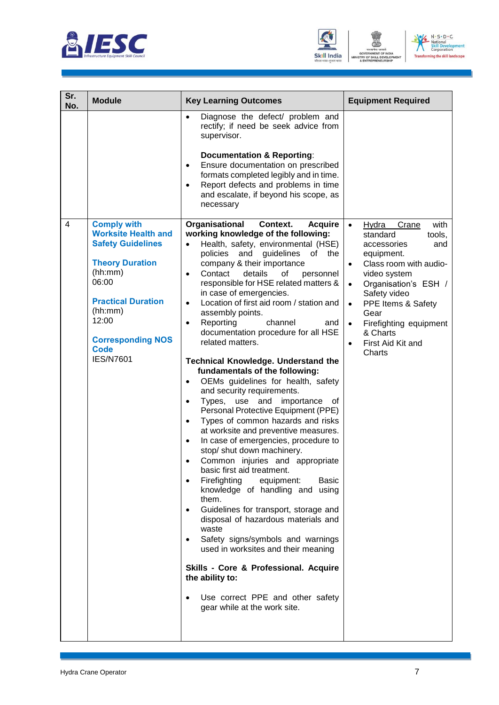





| Sr.      | <b>Module</b>                                                                                                              | <b>Key Learning Outcomes</b>                                                                                                                                                                                                                                                                                                                                                                                                                                                                                                                                                                                                                                                                                                                                                                                                                                                                                                                                                                                                                                                                                                                               | <b>Equipment Required</b>                                                                                                                                                                        |
|----------|----------------------------------------------------------------------------------------------------------------------------|------------------------------------------------------------------------------------------------------------------------------------------------------------------------------------------------------------------------------------------------------------------------------------------------------------------------------------------------------------------------------------------------------------------------------------------------------------------------------------------------------------------------------------------------------------------------------------------------------------------------------------------------------------------------------------------------------------------------------------------------------------------------------------------------------------------------------------------------------------------------------------------------------------------------------------------------------------------------------------------------------------------------------------------------------------------------------------------------------------------------------------------------------------|--------------------------------------------------------------------------------------------------------------------------------------------------------------------------------------------------|
| No.<br>4 | <b>Comply with</b><br><b>Worksite Health and</b><br><b>Safety Guidelines</b><br><b>Theory Duration</b><br>(hh:mm)<br>06:00 | Diagnose the defect/ problem and<br>$\bullet$<br>rectify; if need be seek advice from<br>supervisor.<br><b>Documentation &amp; Reporting:</b><br>Ensure documentation on prescribed<br>$\bullet$<br>formats completed legibly and in time.<br>Report defects and problems in time<br>$\bullet$<br>and escalate, if beyond his scope, as<br>necessary<br>Organisational<br>Context.<br><b>Acquire</b><br>working knowledge of the following:<br>Health, safety, environmental (HSE)<br>$\bullet$<br>policies and guidelines<br>0f<br>the<br>company & their importance<br>Contact<br>details<br>of<br>personnel<br>$\bullet$<br>responsible for HSE related matters &                                                                                                                                                                                                                                                                                                                                                                                                                                                                                       | with<br>Crane<br>$\bullet$<br><u>Hydra</u><br>tools,<br>standard<br>and<br>accessories<br>equipment.<br>Class room with audio-<br>$\bullet$<br>video system<br>Organisation's ESH /<br>$\bullet$ |
|          | <b>Practical Duration</b><br>(hh:mm)<br>12:00<br><b>Corresponding NOS</b><br><b>Code</b><br><b>IES/N7601</b>               | in case of emergencies.<br>Location of first aid room / station and<br>$\bullet$<br>assembly points.<br>Reporting<br>channel<br>and<br>$\bullet$<br>documentation procedure for all HSE<br>related matters.<br><b>Technical Knowledge. Understand the</b><br>fundamentals of the following:<br>OEMs guidelines for health, safety<br>$\bullet$<br>and security requirements.<br>Types, use and<br>importance<br>0f<br>$\bullet$<br>Personal Protective Equipment (PPE)<br>Types of common hazards and risks<br>$\bullet$<br>at worksite and preventive measures.<br>In case of emergencies, procedure to<br>$\bullet$<br>stop/ shut down machinery.<br>Common injuries and appropriate<br>basic first aid treatment.<br>Firefighting<br>equipment:<br><b>Basic</b><br>$\bullet$<br>knowledge of handling and using<br>them.<br>Guidelines for transport, storage and<br>$\bullet$<br>disposal of hazardous materials and<br>waste<br>Safety signs/symbols and warnings<br>used in worksites and their meaning<br>Skills - Core & Professional. Acquire<br>the ability to:<br>Use correct PPE and other safety<br>$\bullet$<br>gear while at the work site. | Safety video<br>PPE Items & Safety<br>$\bullet$<br>Gear<br>Firefighting equipment<br>& Charts<br>First Aid Kit and<br>Charts                                                                     |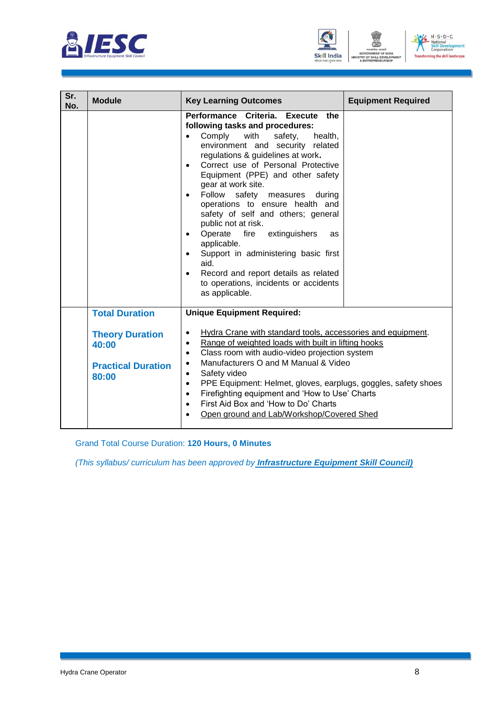





| Sr.<br>No. | <b>Module</b>                                                         | <b>Key Learning Outcomes</b>                                                                                                                                                                                                                                                                                                                                                                                                                                                                                                                                                                                                                                                                                 | <b>Equipment Required</b> |
|------------|-----------------------------------------------------------------------|--------------------------------------------------------------------------------------------------------------------------------------------------------------------------------------------------------------------------------------------------------------------------------------------------------------------------------------------------------------------------------------------------------------------------------------------------------------------------------------------------------------------------------------------------------------------------------------------------------------------------------------------------------------------------------------------------------------|---------------------------|
|            |                                                                       | Performance Criteria. Execute<br>the<br>following tasks and procedures:<br>Comply<br>with<br>safety,<br>health,<br>$\bullet$<br>environment and security related<br>regulations & guidelines at work.<br>Correct use of Personal Protective<br>$\bullet$<br>Equipment (PPE) and other safety<br>gear at work site.<br>Follow safety<br>measures<br>during<br>$\bullet$<br>operations to ensure health and<br>safety of self and others; general<br>public not at risk.<br>Operate<br>fire<br>extinguishers<br>as<br>$\bullet$<br>applicable.<br>Support in administering basic first<br>$\bullet$<br>aid.<br>Record and report details as related<br>to operations, incidents or accidents<br>as applicable. |                           |
|            | <b>Total Duration</b>                                                 | <b>Unique Equipment Required:</b>                                                                                                                                                                                                                                                                                                                                                                                                                                                                                                                                                                                                                                                                            |                           |
|            | <b>Theory Duration</b><br>40:00<br><b>Practical Duration</b><br>80:00 | Hydra Crane with standard tools, accessories and equipment.<br>$\bullet$<br>Range of weighted loads with built in lifting hooks<br>$\bullet$<br>Class room with audio-video projection system<br>$\bullet$<br>Manufacturers O and M Manual & Video<br>$\bullet$<br>Safety video<br>$\bullet$<br>PPE Equipment: Helmet, gloves, earplugs, goggles, safety shoes<br>$\bullet$<br>Firefighting equipment and 'How to Use' Charts<br>$\bullet$<br>First Aid Box and 'How to Do' Charts<br>$\bullet$<br>Open ground and Lab/Workshop/Covered Shed<br>$\bullet$                                                                                                                                                    |                           |

Grand Total Course Duration: **120 Hours, 0 Minutes**

*(This syllabus/ curriculum has been approved by Infrastructure Equipment Skill Council)*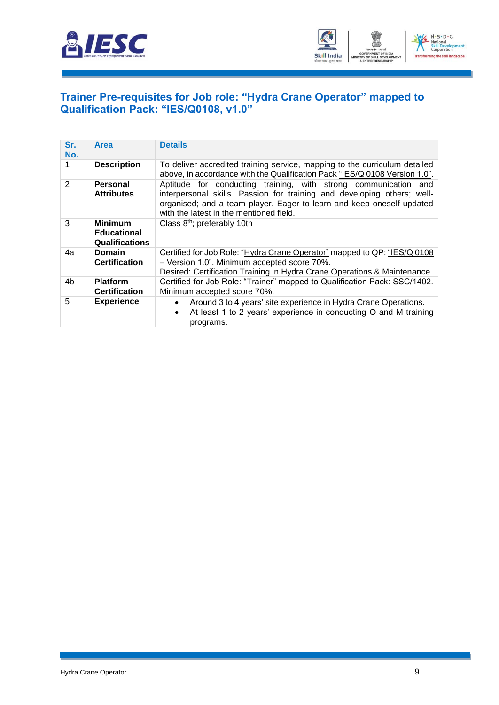



#### <span id="page-11-0"></span>**[Trainer Pre-requisites for Job role: "Hydra Crane Operator" mapped to](#page-2-1)  [Qualification Pack: "IES/Q0108, v1.0"](#page-2-1)**

| Sr.<br>No. | Area                                                          | <b>Details</b>                                                                                                                                                                                                                                                 |
|------------|---------------------------------------------------------------|----------------------------------------------------------------------------------------------------------------------------------------------------------------------------------------------------------------------------------------------------------------|
|            | <b>Description</b>                                            | To deliver accredited training service, mapping to the curriculum detailed<br>above, in accordance with the Qualification Pack "IES/Q 0108 Version 1.0".                                                                                                       |
| 2          | Personal<br><b>Attributes</b>                                 | Aptitude for conducting training, with strong communication and<br>interpersonal skills. Passion for training and developing others; well-<br>organised; and a team player. Eager to learn and keep oneself updated<br>with the latest in the mentioned field. |
| 3          | <b>Minimum</b><br><b>Educational</b><br><b>Qualifications</b> | Class 8 <sup>th</sup> ; preferably 10th                                                                                                                                                                                                                        |
| 4a         | <b>Domain</b><br><b>Certification</b>                         | Certified for Job Role: "Hydra Crane Operator" mapped to QP: "IES/Q 0108<br>- Version 1.0". Minimum accepted score 70%.<br>Desired: Certification Training in Hydra Crane Operations & Maintenance                                                             |
| 4b         | <b>Platform</b><br><b>Certification</b>                       | Certified for Job Role: "Trainer" mapped to Qualification Pack: SSC/1402.<br>Minimum accepted score 70%.                                                                                                                                                       |
| 5          | <b>Experience</b>                                             | Around 3 to 4 years' site experience in Hydra Crane Operations.<br>At least 1 to 2 years' experience in conducting O and M training<br>programs.                                                                                                               |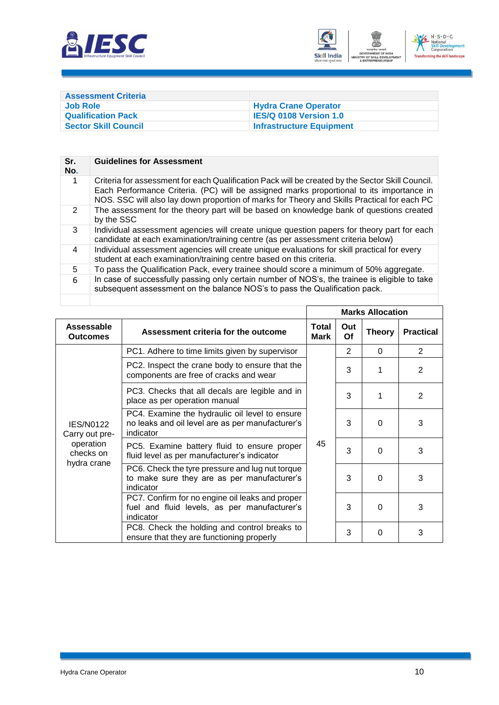



<span id="page-12-0"></span>

| <b>Assessment Criteria</b>  |                                 |
|-----------------------------|---------------------------------|
| <b>Job Role</b>             | <b>Hydra Crane Operator</b>     |
| <b>Qualification Pack</b>   | <b>IES/Q 0108 Version 1.0</b>   |
| <b>Sector Skill Council</b> | <b>Infrastructure Equipment</b> |

| Sr.<br>No.     | <b>Guidelines for Assessment</b>                                                                                                                                                                                                                                                            |
|----------------|---------------------------------------------------------------------------------------------------------------------------------------------------------------------------------------------------------------------------------------------------------------------------------------------|
| 1              | Criteria for assessment for each Qualification Pack will be created by the Sector Skill Council.<br>Each Performance Criteria. (PC) will be assigned marks proportional to its importance in<br>NOS. SSC will also lay down proportion of marks for Theory and Skills Practical for each PC |
| 2              | The assessment for the theory part will be based on knowledge bank of questions created<br>by the SSC                                                                                                                                                                                       |
| 3              | Individual assessment agencies will create unique question papers for theory part for each<br>candidate at each examination/training centre (as per assessment criteria below)                                                                                                              |
| $\overline{4}$ | Individual assessment agencies will create unique evaluations for skill practical for every<br>student at each examination/training centre based on this criteria.                                                                                                                          |
| 5              | To pass the Qualification Pack, every trainee should score a minimum of 50% aggregate.                                                                                                                                                                                                      |
| 6              | In case of successfully passing only certain number of NOS's, the trainee is eligible to take<br>subsequent assessment on the balance NOS's to pass the Qualification pack.                                                                                                                 |
|                |                                                                                                                                                                                                                                                                                             |

'n

|                                       |                                                                                                                 |                             |           | <b>Marks Allocation</b> |                  |
|---------------------------------------|-----------------------------------------------------------------------------------------------------------------|-----------------------------|-----------|-------------------------|------------------|
| Assessable<br><b>Outcomes</b>         | Assessment criteria for the outcome                                                                             | <b>Total</b><br><b>Mark</b> | Out<br>Of | <b>Theory</b>           | <b>Practical</b> |
|                                       | PC1. Adhere to time limits given by supervisor                                                                  | 45                          | 2         | $\Omega$                | 2                |
|                                       | PC2. Inspect the crane body to ensure that the<br>components are free of cracks and wear                        |                             | 3         | 1                       | 2                |
|                                       | PC3. Checks that all decals are legible and in<br>place as per operation manual                                 |                             | 3         |                         | 2                |
| <b>IES/N0122</b><br>Carry out pre-    | PC4. Examine the hydraulic oil level to ensure<br>no leaks and oil level are as per manufacturer's<br>indicator |                             | 3         | $\Omega$                | 3                |
| operation<br>checks on<br>hydra crane | PC5. Examine battery fluid to ensure proper<br>fluid level as per manufacturer's indicator                      |                             | 3         | $\Omega$                | 3                |
|                                       | PC6. Check the tyre pressure and lug nut torque<br>to make sure they are as per manufacturer's<br>indicator     |                             | 3         | $\Omega$                | 3                |
|                                       | PC7. Confirm for no engine oil leaks and proper<br>fuel and fluid levels, as per manufacturer's<br>indicator    |                             | 3         | $\Omega$                | 3                |
|                                       | PC8. Check the holding and control breaks to<br>ensure that they are functioning properly                       |                             | 3         | $\Omega$                | 3                |

٦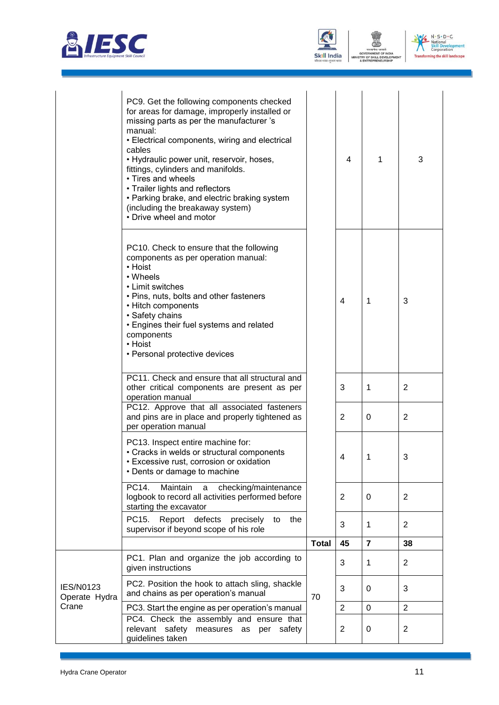





|                                   | PC9. Get the following components checked<br>for areas for damage, improperly installed or<br>missing parts as per the manufacturer 's<br>manual:<br>• Electrical components, wiring and electrical<br>cables<br>• Hydraulic power unit, reservoir, hoses,<br>fittings, cylinders and manifolds.<br>• Tires and wheels<br>• Trailer lights and reflectors<br>• Parking brake, and electric braking system<br>(including the breakaway system)<br>• Drive wheel and motor |              | 4              | 1              | 3              |
|-----------------------------------|--------------------------------------------------------------------------------------------------------------------------------------------------------------------------------------------------------------------------------------------------------------------------------------------------------------------------------------------------------------------------------------------------------------------------------------------------------------------------|--------------|----------------|----------------|----------------|
|                                   | PC10. Check to ensure that the following<br>components as per operation manual:<br>• Hoist<br>• Wheels<br>• Limit switches<br>• Pins, nuts, bolts and other fasteners<br>• Hitch components<br>• Safety chains<br>• Engines their fuel systems and related<br>components<br>• Hoist<br>• Personal protective devices                                                                                                                                                     |              | $\overline{4}$ | 1              | 3              |
|                                   | PC11. Check and ensure that all structural and<br>other critical components are present as per<br>operation manual                                                                                                                                                                                                                                                                                                                                                       |              | 3              | 1              | 2              |
|                                   | PC12. Approve that all associated fasteners<br>and pins are in place and properly tightened as<br>per operation manual                                                                                                                                                                                                                                                                                                                                                   |              | $\overline{2}$ | 0              | 2              |
|                                   | PC13. Inspect entire machine for:<br>• Cracks in welds or structural components<br>· Excessive rust, corrosion or oxidation<br>• Dents or damage to machine                                                                                                                                                                                                                                                                                                              |              | 4              | 1              | 3              |
|                                   | PC14.<br>Maintain<br>checking/maintenance<br>a<br>logbook to record all activities performed before<br>starting the excavator                                                                                                                                                                                                                                                                                                                                            |              | 2              | 0              | $\overline{2}$ |
|                                   | Report defects precisely<br>PC15.<br>to<br>the<br>supervisor if beyond scope of his role                                                                                                                                                                                                                                                                                                                                                                                 |              | 3              | $\mathbf 1$    | $\overline{2}$ |
|                                   |                                                                                                                                                                                                                                                                                                                                                                                                                                                                          | <b>Total</b> | 45             | $\overline{7}$ | 38             |
|                                   | PC1. Plan and organize the job according to<br>given instructions                                                                                                                                                                                                                                                                                                                                                                                                        |              | 3              | 1              | 2              |
| <b>IES/N0123</b><br>Operate Hydra | PC2. Position the hook to attach sling, shackle<br>and chains as per operation's manual                                                                                                                                                                                                                                                                                                                                                                                  | 70           | 3              | 0              | 3              |
| Crane                             | PC3. Start the engine as per operation's manual                                                                                                                                                                                                                                                                                                                                                                                                                          |              | $\overline{2}$ | $\mathbf 0$    | $\overline{2}$ |
|                                   | PC4. Check the assembly and ensure that<br>relevant safety measures as per safety<br>guidelines taken                                                                                                                                                                                                                                                                                                                                                                    |              | $\overline{2}$ | 0              | $\overline{2}$ |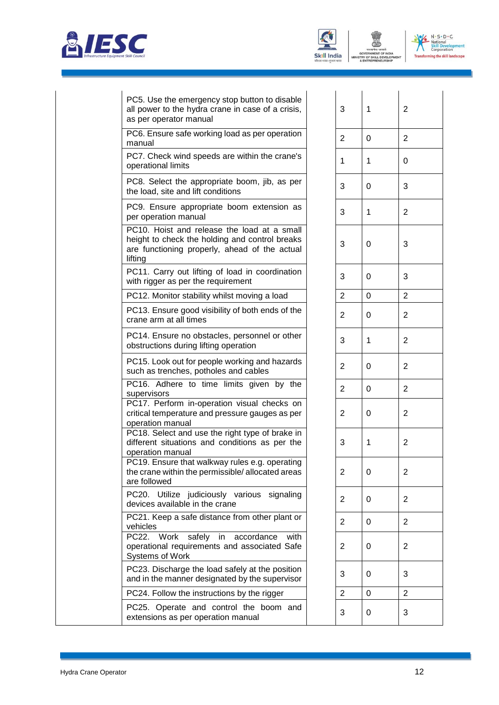





| PC5. Use the emergency stop button to disable<br>all power to the hydra crane in case of a crisis,<br>as per operator manual                              | 3              | 1        | $\overline{2}$ |
|-----------------------------------------------------------------------------------------------------------------------------------------------------------|----------------|----------|----------------|
| PC6. Ensure safe working load as per operation<br>manual                                                                                                  | 2              | $\Omega$ | $\overline{2}$ |
| PC7. Check wind speeds are within the crane's<br>operational limits                                                                                       | 1              | 1        | 0              |
| PC8. Select the appropriate boom, jib, as per<br>the load, site and lift conditions                                                                       | 3              | $\Omega$ | 3              |
| PC9. Ensure appropriate boom extension as<br>per operation manual                                                                                         | 3              | 1        | $\overline{2}$ |
| PC10. Hoist and release the load at a small<br>height to check the holding and control breaks<br>are functioning properly, ahead of the actual<br>lifting | 3              | $\Omega$ | 3              |
| PC11. Carry out lifting of load in coordination<br>with rigger as per the requirement                                                                     | 3              | 0        | 3              |
| PC12. Monitor stability whilst moving a load                                                                                                              | 2              | $\Omega$ | $\overline{2}$ |
| PC13. Ensure good visibility of both ends of the<br>crane arm at all times                                                                                | 2              | $\Omega$ | $\overline{2}$ |
| PC14. Ensure no obstacles, personnel or other<br>obstructions during lifting operation                                                                    | 3              | 1        | $\overline{2}$ |
| PC15. Look out for people working and hazards<br>such as trenches, potholes and cables                                                                    | $\overline{2}$ | 0        | $\overline{2}$ |
| PC16. Adhere to time limits given by the<br>supervisors                                                                                                   | 2              | $\Omega$ | $\overline{2}$ |

PC17. Perform in-operation visual checks on critical temperature and pressure gauges as per operation manual PC18. Select and use the right type of brake in

different situations and conditions as per the operation manual PC19. Ensure that walkway rules e.g. operating

the crane within the permissible/ allocated areas are followed PC20. Utilize judiciously various signaling devices available in the crane

PC21. Keep a safe distance from other plant or  $\begin{vmatrix} 2 & 0 & 2 \end{vmatrix}$ 

PC22. Work safely in accordance with operational requirements and associated Safe Systems of Work

PC23. Discharge the load safely at the position and in the manner designated by the supervisor

PC24. Follow the instructions by the rigger

PC25. Operate and control the boom and extensions as per operation manual  $\begin{array}{ccc} | & | & | & | \end{array}$ 

| 3                       | 1                       | $\overline{\mathbf{c}}$ |
|-------------------------|-------------------------|-------------------------|
| $\overline{c}$          | $\mathbf 0$             | $\overline{\mathbf{c}}$ |
| $\overline{\mathbf{1}}$ | $\overline{\mathbf{1}}$ | $\mathbf 0$             |
| 3                       | $\overline{0}$          | 3                       |
| 3                       | $\ddot{\phantom{0}}$    | $\overline{c}$          |
| 3                       | $\mathbf{o}$            | 3                       |
| 3                       | $\overline{0}$          | 3                       |
|                         | $\mathbf 0$             | $\overline{2}$          |
| $\frac{2}{2}$           | $\mathbf{0}$            | $\overline{a}$          |
| 3                       | $\overline{\mathbf{1}}$ | $\overline{a}$          |
| $\overline{\mathbf{c}}$ | $\overline{0}$          | $\overline{\mathbf{c}}$ |
| $\frac{2}{1}$           | $\mathbf{0}$            | $\overline{\mathbf{c}}$ |
| $\frac{1}{2}$           | $\mathbf{O}$            | $\overline{c}$          |
| $\overline{3}$          | 1                       | $\overline{a}$          |
| $\overline{c}$          | $\mathbf{O}$            | $\overline{\mathbf{c}}$ |
| $\overline{\mathbf{c}}$ | $\mathbf 0$             | $\overline{\mathbf{c}}$ |
| $\overline{\mathbf{c}}$ | $\mathbf 0$             | $\overline{c}$          |
| $\overline{\mathbf{c}}$ | $\mathbf{0}$            | $\overline{\mathbf{c}}$ |
| $\overline{3}$          | $\overline{0}$          | 3                       |
| $\overline{2}$          | $\overline{0}$          | $\overline{c}$          |
| $\overline{\mathbf{3}}$ | $\overline{0}$          | $\overline{3}$          |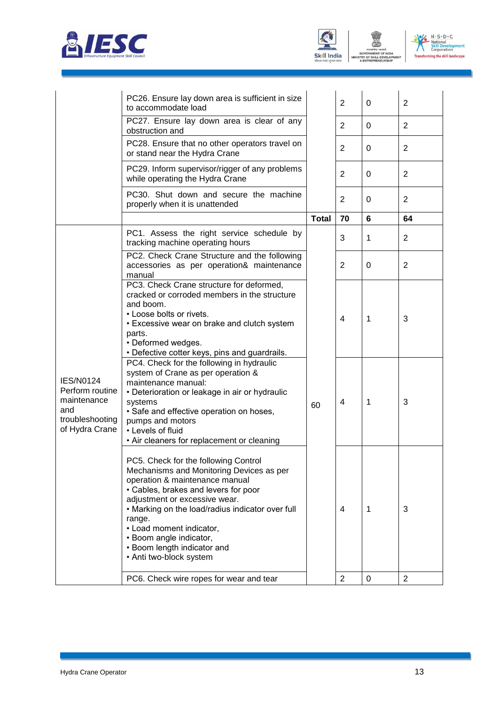





ENT

|                                                                                                | PC26. Ensure lay down area is sufficient in size<br>to accommodate load                                                                                                                                                                                                                                                                                                    |              | $\overline{2}$ | $\Omega$       | $\overline{2}$ |
|------------------------------------------------------------------------------------------------|----------------------------------------------------------------------------------------------------------------------------------------------------------------------------------------------------------------------------------------------------------------------------------------------------------------------------------------------------------------------------|--------------|----------------|----------------|----------------|
|                                                                                                | PC27. Ensure lay down area is clear of any<br>obstruction and                                                                                                                                                                                                                                                                                                              |              | $\overline{2}$ | 0              | $\overline{2}$ |
|                                                                                                | PC28. Ensure that no other operators travel on<br>or stand near the Hydra Crane                                                                                                                                                                                                                                                                                            |              | $\overline{2}$ | 0              | $\overline{2}$ |
|                                                                                                | PC29. Inform supervisor/rigger of any problems<br>while operating the Hydra Crane                                                                                                                                                                                                                                                                                          |              | $\overline{2}$ | 0              | $\overline{2}$ |
|                                                                                                | PC30. Shut down and secure the machine<br>properly when it is unattended                                                                                                                                                                                                                                                                                                   |              | $\overline{2}$ | 0              | $\overline{2}$ |
|                                                                                                |                                                                                                                                                                                                                                                                                                                                                                            | <b>Total</b> | 70             | $6\phantom{1}$ | 64             |
|                                                                                                | PC1. Assess the right service schedule by<br>tracking machine operating hours                                                                                                                                                                                                                                                                                              |              | 3              | 1              | $\overline{2}$ |
|                                                                                                | PC2. Check Crane Structure and the following<br>accessories as per operation& maintenance<br>manual                                                                                                                                                                                                                                                                        |              | $\overline{2}$ | 0              | $\overline{2}$ |
|                                                                                                | PC3. Check Crane structure for deformed,<br>cracked or corroded members in the structure<br>and boom.<br>• Loose bolts or rivets.<br>• Excessive wear on brake and clutch system<br>parts.<br>• Deformed wedges.<br>• Defective cotter keys, pins and guardrails.                                                                                                          | 60           | 4              | 1              | 3              |
| <b>IES/N0124</b><br>Perform routine<br>maintenance<br>and<br>troubleshooting<br>of Hydra Crane | PC4. Check for the following in hydraulic<br>system of Crane as per operation &<br>maintenance manual:<br>• Deterioration or leakage in air or hydraulic<br>systems<br>• Safe and effective operation on hoses,<br>pumps and motors<br>• Levels of fluid<br>• Air cleaners for replacement or cleaning                                                                     |              | 4              | 1              | 3              |
|                                                                                                | PC5. Check for the following Control<br>Mechanisms and Monitoring Devices as per<br>operation & maintenance manual<br>• Cables, brakes and levers for poor<br>adjustment or excessive wear.<br>• Marking on the load/radius indicator over full<br>range.<br>• Load moment indicator,<br>• Boom angle indicator,<br>• Boom length indicator and<br>• Anti two-block system |              | 4              | 1              | 3              |
|                                                                                                | PC6. Check wire ropes for wear and tear                                                                                                                                                                                                                                                                                                                                    |              | $\overline{2}$ | 0              | $\overline{2}$ |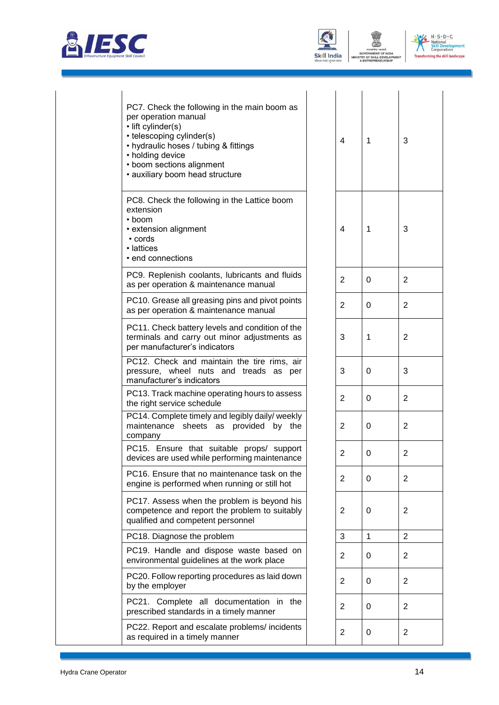





| PC7. Check the following in the main boom as<br>per operation manual<br>· lift cylinder(s)<br>• telescoping cylinder(s)<br>• hydraulic hoses / tubing & fittings<br>• holding device<br>• boom sections alignment<br>· auxiliary boom head structure | 4              | 1            | 3              |
|------------------------------------------------------------------------------------------------------------------------------------------------------------------------------------------------------------------------------------------------------|----------------|--------------|----------------|
| PC8. Check the following in the Lattice boom<br>extension<br>$\cdot$ boom<br>• extension alignment<br>• cords<br>• lattices<br>· end connections                                                                                                     | 4              | 1            | 3              |
| PC9. Replenish coolants, lubricants and fluids<br>as per operation & maintenance manual                                                                                                                                                              | 2              | 0            | $\overline{2}$ |
| PC10. Grease all greasing pins and pivot points<br>as per operation & maintenance manual                                                                                                                                                             | 2              | 0            | $\overline{2}$ |
| PC11. Check battery levels and condition of the<br>terminals and carry out minor adjustments as<br>per manufacturer's indicators                                                                                                                     | 3              | 1            | $\overline{2}$ |
| PC12. Check and maintain the tire rims, air<br>pressure, wheel nuts and treads as per<br>manufacturer's indicators                                                                                                                                   | 3              | $\Omega$     | 3              |
| PC13. Track machine operating hours to assess<br>the right service schedule                                                                                                                                                                          | 2              | 0            | $\overline{2}$ |
| PC14. Complete timely and legibly daily/ weekly<br>maintenance sheets as provided by the<br>company                                                                                                                                                  | 2              | 0            | $\overline{2}$ |
| PC15. Ensure that suitable props/ support<br>devices are used while performing maintenance                                                                                                                                                           | 2              | 0            | $\overline{2}$ |
| PC16. Ensure that no maintenance task on the<br>engine is performed when running or still hot                                                                                                                                                        | 2              | 0            | $\overline{2}$ |
| PC17. Assess when the problem is beyond his<br>competence and report the problem to suitably<br>qualified and competent personnel                                                                                                                    | $\overline{2}$ | 0            | $\overline{2}$ |
| PC18. Diagnose the problem                                                                                                                                                                                                                           | 3              | $\mathbf{1}$ | $\overline{2}$ |
| PC19. Handle and dispose waste based on<br>environmental guidelines at the work place                                                                                                                                                                | 2              | 0            | $\overline{a}$ |
| PC20. Follow reporting procedures as laid down<br>by the employer                                                                                                                                                                                    | 2              | 0            | $\overline{2}$ |
| PC21. Complete all documentation in the<br>prescribed standards in a timely manner                                                                                                                                                                   | $\overline{2}$ | 0            | $\overline{2}$ |
| PC22. Report and escalate problems/ incidents<br>as required in a timely manner                                                                                                                                                                      | 2              | 0            | $\overline{2}$ |
|                                                                                                                                                                                                                                                      |                |              |                |